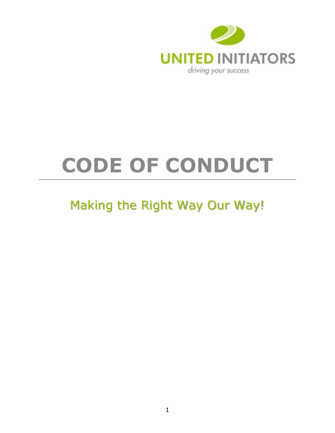

# <span id="page-0-0"></span>**CODE OF CONDUCT**

# Making the Right Way Our Way!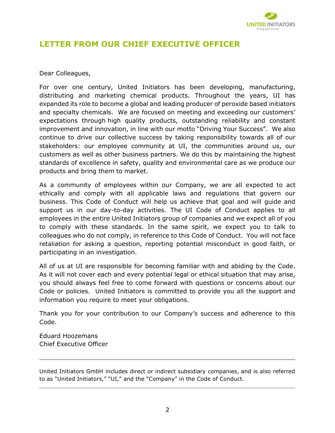

# **LETTER FROM OUR CHIEF EXECUTIVE OFFICER**

#### Dear Colleagues,

For over one century, United Initiators has been developing, manufacturing, distributing and marketing chemical products. Throughout the years, UI has expanded its role to become a global and leading producer of peroxide based initiators and specialty chemicals. We are focused on meeting and exceeding our customers' expectations through high quality products, outstanding reliability and constant improvement and innovation, in line with our motto "Driving Your Success". We also continue to drive our collective success by taking responsibility towards all of our stakeholders: our employee community at UI, the communities around us, our customers as well as other business partners. We do this by maintaining the highest standards of excellence in safety, quality and environmental care as we produce our products and bring them to market.

As a community of employees within our Company, we are all expected to act ethically and comply with all applicable laws and regulations that govern our business. This Code of Conduct will help us achieve that goal and will guide and support us in our day-to-day activities. The UI Code of Conduct applies to all employees in the entire United Initiators group of companies and we expect all of you to comply with these standards. In the same spirit, we expect you to talk to colleagues who do not comply, in reference to this Code of Conduct. You will not face retaliation for asking a question, reporting potential misconduct in good faith, or participating in an investigation.

All of us at UI are responsible for becoming familiar with and abiding by the Code. As it will not cover each and every potential legal or ethical situation that may arise, you should always feel free to come forward with questions or concerns about our Code or policies. United Initiators is committed to provide you all the support and information you require to meet your obligations.

Thank you for your contribution to our Company's success and adherence to this Code.

Eduard Hoozemans Chief Executive Officer

United Initiators GmbH includes direct or indirect subsidiary companies, and is also referred to as "United Initiators," "UI," and the "Company" in the Code of Conduct.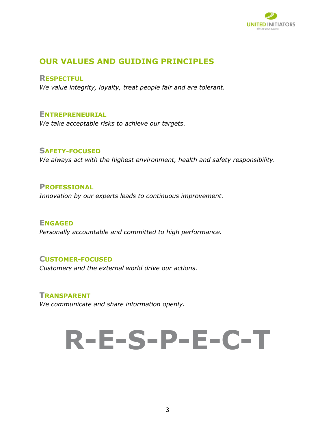

# <span id="page-2-0"></span>**OUR VALUES AND GUIDING PRINCIPLES**

<span id="page-2-1"></span>**RESPECTFUL**

*We value integrity, loyalty, treat people fair and are tolerant.*

# <span id="page-2-2"></span>**ENTREPRENEURIAL**

*We take acceptable risks to achieve our targets.*

# <span id="page-2-3"></span>**SAFETY-FOCUSED**

*We always act with the highest environment, health and safety responsibility.*

#### <span id="page-2-4"></span>**PROFESSIONAL** *Innovation by our experts leads to continuous improvement.*

<span id="page-2-5"></span>**ENGAGED** *Personally accountable and committed to high performance.* 

# <span id="page-2-6"></span>**CUSTOMER-FOCUSED**

*Customers and the external world drive our actions.*

# <span id="page-2-7"></span>**TRANSPARENT**

*We communicate and share information openly.*

# **R-E-S-P-E-C-T**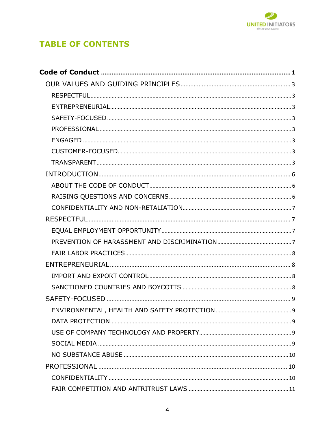

# **TABLE OF CONTENTS**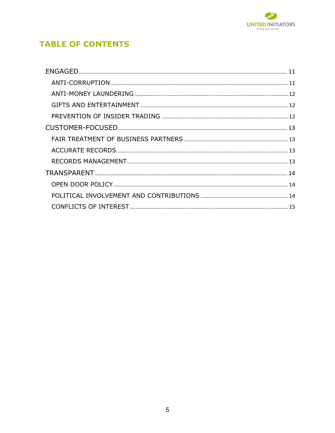

# **TABLE OF CONTENTS**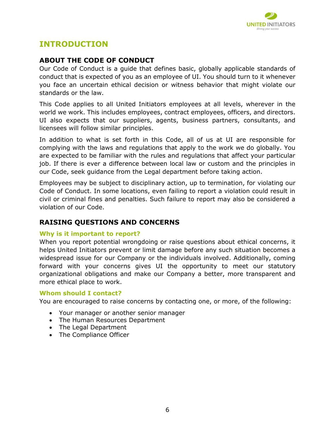

# <span id="page-5-0"></span>**INTRODUCTION**

# <span id="page-5-1"></span>**ABOUT THE CODE OF CONDUCT**

Our Code of Conduct is a guide that defines basic, globally applicable standards of conduct that is expected of you as an employee of UI. You should turn to it whenever you face an uncertain ethical decision or witness behavior that might violate our standards or the law.

This Code applies to all United Initiators employees at all levels, wherever in the world we work. This includes employees, contract employees, officers, and directors. UI also expects that our suppliers, agents, business partners, consultants, and licensees will follow similar principles.

In addition to what is set forth in this Code, all of us at UI are responsible for complying with the laws and regulations that apply to the work we do globally. You are expected to be familiar with the rules and regulations that affect your particular job. If there is ever a difference between local law or custom and the principles in our Code, seek guidance from the Legal department before taking action.

Employees may be subject to disciplinary action, up to termination, for violating our Code of Conduct. In some locations, even failing to report a violation could result in civil or criminal fines and penalties. Such failure to report may also be considered a violation of our Code.

# <span id="page-5-2"></span>**RAISING QUESTIONS AND CONCERNS**

#### **Why is it important to report?**

When you report potential wrongdoing or raise questions about ethical concerns, it helps United Initiators prevent or limit damage before any such situation becomes a widespread issue for our Company or the individuals involved. Additionally, coming forward with your concerns gives UI the opportunity to meet our statutory organizational obligations and make our Company a better, more transparent and more ethical place to work.

#### **Whom should I contact?**

You are encouraged to raise concerns by contacting one, or more, of the following:

- Your manager or another senior manager
- The Human Resources Department
- The Legal Department
- The Compliance Officer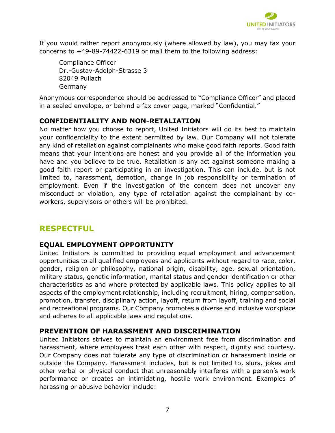

If you would rather report anonymously (where allowed by law), you may fax your concerns to +49-89-74422-6319 or mail them to the following address:

Compliance Officer Dr.-Gustav-Adolph-Strasse 3 82049 Pullach Germany

Anonymous correspondence should be addressed to "Compliance Officer" and placed in a sealed envelope, or behind a fax cover page, marked "Confidential."

# <span id="page-6-0"></span>**CONFIDENTIALITY AND NON-RETALIATION**

No matter how you choose to report, United Initiators will do its best to maintain your confidentiality to the extent permitted by law. Our Company will not tolerate any kind of retaliation against complainants who make good faith reports. Good faith means that your intentions are honest and you provide all of the information you have and you believe to be true. Retaliation is any act against someone making a good faith report or participating in an investigation. This can include, but is not limited to, harassment, demotion, change in job responsibility or termination of employment. Even if the investigation of the concern does not uncover any misconduct or violation, any type of retaliation against the complainant by coworkers, supervisors or others will be prohibited.

# <span id="page-6-1"></span>**RESPECTFUL**

# <span id="page-6-2"></span>**EQUAL EMPLOYMENT OPPORTUNITY**

United Initiators is committed to providing equal employment and advancement opportunities to all qualified employees and applicants without regard to race, color, gender, religion or philosophy, national origin, disability, age, sexual orientation, military status, genetic information, marital status and gender identification or other characteristics as and where protected by applicable laws. This policy applies to all aspects of the employment relationship, including recruitment, hiring, compensation, promotion, transfer, disciplinary action, layoff, return from layoff, training and social and recreational programs. Our Company promotes a diverse and inclusive workplace and adheres to all applicable laws and regulations.

# <span id="page-6-3"></span>**PREVENTION OF HARASSMENT AND DISCRIMINATION**

United Initiators strives to maintain an environment free from discrimination and harassment, where employees treat each other with respect, dignity and courtesy. Our Company does not tolerate any type of discrimination or harassment inside or outside the Company. Harassment includes, but is not limited to, slurs, jokes and other verbal or physical conduct that unreasonably interferes with a person's work performance or creates an intimidating, hostile work environment. Examples of harassing or abusive behavior include: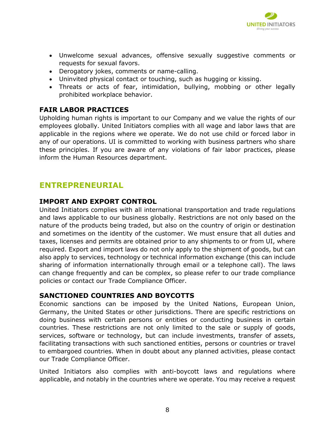

- Unwelcome sexual advances, offensive sexually suggestive comments or requests for sexual favors.
- Derogatory jokes, comments or name-calling.
- Uninvited physical contact or touching, such as hugging or kissing.
- Threats or acts of fear, intimidation, bullying, mobbing or other legally prohibited workplace behavior.

# <span id="page-7-0"></span>**FAIR LABOR PRACTICES**

Upholding human rights is important to our Company and we value the rights of our employees globally. United Initiators complies with all wage and labor laws that are applicable in the regions where we operate. We do not use child or forced labor in any of our operations. UI is committed to working with business partners who share these principles. If you are aware of any violations of fair labor practices, please inform the Human Resources department.

# <span id="page-7-1"></span>**ENTREPRENEURIAL**

# <span id="page-7-2"></span>**IMPORT AND EXPORT CONTROL**

United Initiators complies with all international transportation and trade regulations and laws applicable to our business globally. Restrictions are not only based on the nature of the products being traded, but also on the country of origin or destination and sometimes on the identity of the customer. We must ensure that all duties and taxes, licenses and permits are obtained prior to any shipments to or from UI, where required. Export and import laws do not only apply to the shipment of goods, but can also apply to services, technology or technical information exchange (this can include sharing of information internationally through email or a telephone call). The laws can change frequently and can be complex, so please refer to our trade compliance policies or contact our Trade Compliance Officer.

# <span id="page-7-3"></span>**SANCTIONED COUNTRIES AND BOYCOTTS**

Economic sanctions can be imposed by the United Nations, European Union, Germany, the United States or other jurisdictions. There are specific restrictions on doing business with certain persons or entities or conducting business in certain countries. These restrictions are not only limited to the sale or supply of goods, services, software or technology, but can include investments, transfer of assets, facilitating transactions with such sanctioned entities, persons or countries or travel to embargoed countries. When in doubt about any planned activities, please contact our Trade Compliance Officer.

United Initiators also complies with anti-boycott laws and regulations where applicable, and notably in the countries where we operate. You may receive a request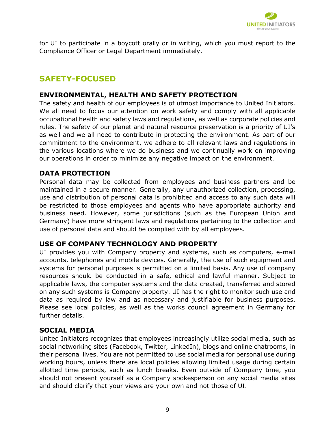

for UI to participate in a boycott orally or in writing, which you must report to the Compliance Officer or Legal Department immediately.

# <span id="page-8-0"></span>**SAFETY-FOCUSED**

# <span id="page-8-1"></span>**ENVIRONMENTAL, HEALTH AND SAFETY PROTECTION**

The safety and health of our employees is of utmost importance to United Initiators. We all need to focus our attention on work safety and comply with all applicable occupational health and safety laws and regulations, as well as corporate policies and rules. The safety of our planet and natural resource preservation is a priority of UI's as well and we all need to contribute in protecting the environment. As part of our commitment to the environment, we adhere to all relevant laws and regulations in the various locations where we do business and we continually work on improving our operations in order to minimize any negative impact on the environment.

#### <span id="page-8-2"></span>**DATA PROTECTION**

Personal data may be collected from employees and business partners and be maintained in a secure manner. Generally, any unauthorized collection, processing, use and distribution of personal data is prohibited and access to any such data will be restricted to those employees and agents who have appropriate authority and business need. However, some jurisdictions (such as the European Union and Germany) have more stringent laws and regulations pertaining to the collection and use of personal data and should be complied with by all employees.

#### <span id="page-8-3"></span>**USE OF COMPANY TECHNOLOGY AND PROPERTY**

UI provides you with Company property and systems, such as computers, e-mail accounts, telephones and mobile devices. Generally, the use of such equipment and systems for personal purposes is permitted on a limited basis. Any use of company resources should be conducted in a safe, ethical and lawful manner. Subject to applicable laws, the computer systems and the data created, transferred and stored on any such systems is Company property. UI has the right to monitor such use and data as required by law and as necessary and justifiable for business purposes. Please see local policies, as well as the works council agreement in Germany for further details.

#### <span id="page-8-4"></span>**SOCIAL MEDIA**

United Initiators recognizes that employees increasingly utilize social media, such as social networking sites (Facebook, Twitter, LinkedIn), blogs and online chatrooms, in their personal lives. You are not permitted to use social media for personal use during working hours, unless there are local policies allowing limited usage during certain allotted time periods, such as lunch breaks. Even outside of Company time, you should not present yourself as a Company spokesperson on any social media sites and should clarify that your views are your own and not those of UI.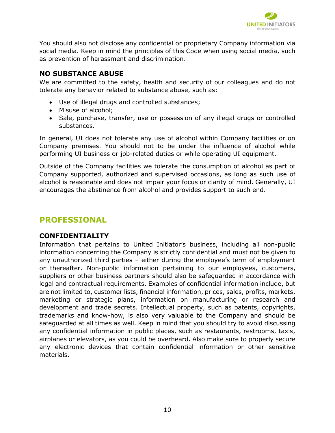

You should also not disclose any confidential or proprietary Company information via social media. Keep in mind the principles of this Code when using social media, such as prevention of harassment and discrimination.

# <span id="page-9-0"></span>**NO SUBSTANCE ABUSE**

We are committed to the safety, health and security of our colleagues and do not tolerate any behavior related to substance abuse, such as:

- Use of illegal drugs and controlled substances;
- Misuse of alcohol;
- Sale, purchase, transfer, use or possession of any illegal drugs or controlled substances.

In general, UI does not tolerate any use of alcohol within Company facilities or on Company premises. You should not to be under the influence of alcohol while performing UI business or job-related duties or while operating UI equipment.

Outside of the Company facilities we tolerate the consumption of alcohol as part of Company supported, authorized and supervised occasions, as long as such use of alcohol is reasonable and does not impair your focus or clarity of mind. Generally, UI encourages the abstinence from alcohol and provides support to such end.

# <span id="page-9-1"></span>**PROFESSIONAL**

# <span id="page-9-2"></span>**CONFIDENTIALITY**

Information that pertains to United Initiator's business, including all non-public information concerning the Company is strictly confidential and must not be given to any unauthorized third parties – either during the employee's term of employment or thereafter. Non-public information pertaining to our employees, customers, suppliers or other business partners should also be safeguarded in accordance with legal and contractual requirements. Examples of confidential information include, but are not limited to, customer lists, financial information, prices, sales, profits, markets, marketing or strategic plans, information on manufacturing or research and development and trade secrets. Intellectual property, such as patents, copyrights, trademarks and know-how, is also very valuable to the Company and should be safeguarded at all times as well. Keep in mind that you should try to avoid discussing any confidential information in public places, such as restaurants, restrooms, taxis, airplanes or elevators, as you could be overheard. Also make sure to properly secure any electronic devices that contain confidential information or other sensitive materials.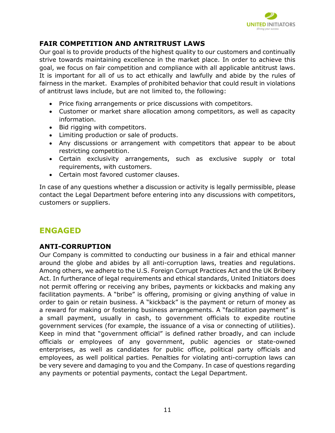

# <span id="page-10-0"></span>**FAIR COMPETITION AND ANTRITRUST LAWS**

Our goal is to provide products of the highest quality to our customers and continually strive towards maintaining excellence in the market place. In order to achieve this goal, we focus on fair competition and compliance with all applicable antitrust laws. It is important for all of us to act ethically and lawfully and abide by the rules of fairness in the market. Examples of prohibited behavior that could result in violations of antitrust laws include, but are not limited to, the following:

- Price fixing arrangements or price discussions with competitors.
- Customer or market share allocation among competitors, as well as capacity information.
- Bid rigging with competitors.
- Limiting production or sale of products.
- Any discussions or arrangement with competitors that appear to be about restricting competition.
- Certain exclusivity arrangements, such as exclusive supply or total requirements, with customers.
- Certain most favored customer clauses.

In case of any questions whether a discussion or activity is legally permissible, please contact the Legal Department before entering into any discussions with competitors, customers or suppliers.

# <span id="page-10-1"></span>**ENGAGED**

# <span id="page-10-2"></span>**ANTI-CORRUPTION**

Our Company is committed to conducting our business in a fair and ethical manner around the globe and abides by all anti-corruption laws, treaties and regulations. Among others, we adhere to the U.S. Foreign Corrupt Practices Act and the UK Bribery Act. In furtherance of legal requirements and ethical standards, United Initiators does not permit offering or receiving any bribes, payments or kickbacks and making any facilitation payments. A "bribe" is offering, promising or giving anything of value in order to gain or retain business. A "kickback" is the payment or return of money as a reward for making or fostering business arrangements. A "facilitation payment" is a small payment, usually in cash, to government officials to expedite routine government services (for example, the issuance of a visa or connecting of utilities). Keep in mind that "government official" is defined rather broadly, and can include officials or employees of any government, public agencies or state-owned enterprises, as well as candidates for public office, political party officials and employees, as well political parties. Penalties for violating anti-corruption laws can be very severe and damaging to you and the Company. In case of questions regarding any payments or potential payments, contact the Legal Department.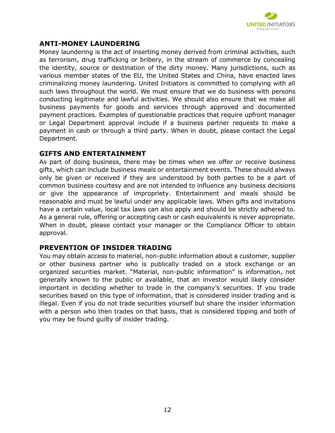

# <span id="page-11-0"></span>**ANTI-MONEY LAUNDERING**

Money laundering is the act of inserting money derived from criminal activities, such as terrorism, drug trafficking or bribery, in the stream of commerce by concealing the identity, source or destination of the dirty money. Many jurisdictions, such as various member states of the EU, the United States and China, have enacted laws criminalizing money laundering. United Initiators is committed to complying with all such laws throughout the world. We must ensure that we do business with persons conducting legitimate and lawful activities. We should also ensure that we make all business payments for goods and services through approved and documented payment practices. Examples of questionable practices that require upfront manager or Legal Department approval include if a business partner requests to make a payment in cash or through a third party. When in doubt, please contact the Legal Department.

#### <span id="page-11-1"></span>**GIFTS AND ENTERTAINMENT**

As part of doing business, there may be times when we offer or receive business gifts, which can include business meals or entertainment events. These should always only be given or received if they are understood by both parties to be a part of common business courtesy and are not intended to influence any business decisions or give the appearance of impropriety. Entertainment and meals should be reasonable and must be lawful under any applicable laws. When gifts and invitations have a certain value, local tax laws can also apply and should be strictly adhered to. As a general rule, offering or accepting cash or cash equivalents is never appropriate. When in doubt, please contact your manager or the Compliance Officer to obtain approval.

# <span id="page-11-2"></span>**PREVENTION OF INSIDER TRADING**

You may obtain access to material, non-public information about a customer, supplier or other business partner who is publically traded on a stock exchange or an organized securities market. "Material, non-public information" is information, not generally known to the public or available, that an investor would likely consider important in deciding whether to trade in the company's securities. If you trade securities based on this type of information, that is considered insider trading and is illegal. Even if you do not trade securities yourself but share the insider information with a person who then trades on that basis, that is considered tipping and both of you may be found guilty of insider trading.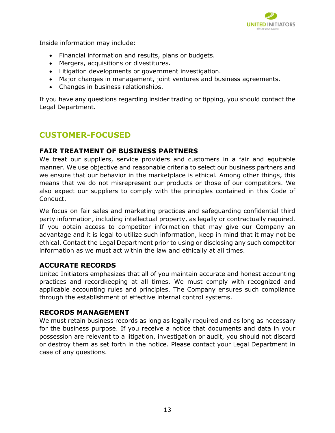

Inside information may include:

- Financial information and results, plans or budgets.
- Mergers, acquisitions or divestitures.
- Litigation developments or government investigation.
- Major changes in management, joint ventures and business agreements.
- Changes in business relationships.

If you have any questions regarding insider trading or tipping, you should contact the Legal Department.

# <span id="page-12-0"></span>**CUSTOMER-FOCUSED**

# <span id="page-12-1"></span>**FAIR TREATMENT OF BUSINESS PARTNERS**

We treat our suppliers, service providers and customers in a fair and equitable manner. We use objective and reasonable criteria to select our business partners and we ensure that our behavior in the marketplace is ethical. Among other things, this means that we do not misrepresent our products or those of our competitors. We also expect our suppliers to comply with the principles contained in this Code of Conduct.

We focus on fair sales and marketing practices and safeguarding confidential third party information, including intellectual property, as legally or contractually required. If you obtain access to competitor information that may give our Company an advantage and it is legal to utilize such information, keep in mind that it may not be ethical. Contact the Legal Department prior to using or disclosing any such competitor information as we must act within the law and ethically at all times.

# <span id="page-12-2"></span>**ACCURATE RECORDS**

United Initiators emphasizes that all of you maintain accurate and honest accounting practices and recordkeeping at all times. We must comply with recognized and applicable accounting rules and principles. The Company ensures such compliance through the establishment of effective internal control systems.

# <span id="page-12-3"></span>**RECORDS MANAGEMENT**

We must retain business records as long as legally required and as long as necessary for the business purpose. If you receive a notice that documents and data in your possession are relevant to a litigation, investigation or audit, you should not discard or destroy them as set forth in the notice. Please contact your Legal Department in case of any questions.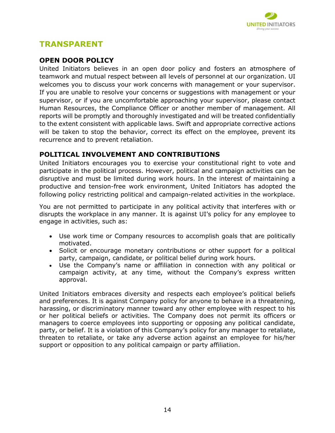

# <span id="page-13-0"></span>**TRANSPARENT**

# <span id="page-13-1"></span>**OPEN DOOR POLICY**

United Initiators believes in an open door policy and fosters an atmosphere of teamwork and mutual respect between all levels of personnel at our organization. UI welcomes you to discuss your work concerns with management or your supervisor. If you are unable to resolve your concerns or suggestions with management or your supervisor, or if you are uncomfortable approaching your supervisor, please contact Human Resources, the Compliance Officer or another member of management. All reports will be promptly and thoroughly investigated and will be treated confidentially to the extent consistent with applicable laws. Swift and appropriate corrective actions will be taken to stop the behavior, correct its effect on the employee, prevent its recurrence and to prevent retaliation.

# <span id="page-13-2"></span>**POLITICAL INVOLVEMENT AND CONTRIBUTIONS**

United Initiators encourages you to exercise your constitutional right to vote and participate in the political process. However, political and campaign activities can be disruptive and must be limited during work hours. In the interest of maintaining a productive and tension-free work environment, United Initiators has adopted the following policy restricting political and campaign-related activities in the workplace.

You are not permitted to participate in any political activity that interferes with or disrupts the workplace in any manner. It is against UI's policy for any employee to engage in activities, such as:

- Use work time or Company resources to accomplish goals that are politically motivated.
- Solicit or encourage monetary contributions or other support for a political party, campaign, candidate, or political belief during work hours.
- Use the Company's name or affiliation in connection with any political or campaign activity, at any time, without the Company's express written approval.

United Initiators embraces diversity and respects each employee's political beliefs and preferences. It is against Company policy for anyone to behave in a threatening, harassing, or discriminatory manner toward any other employee with respect to his or her political beliefs or activities. The Company does not permit its officers or managers to coerce employees into supporting or opposing any political candidate, party, or belief. It is a violation of this Company's policy for any manager to retaliate, threaten to retaliate, or take any adverse action against an employee for his/her support or opposition to any political campaign or party affiliation.